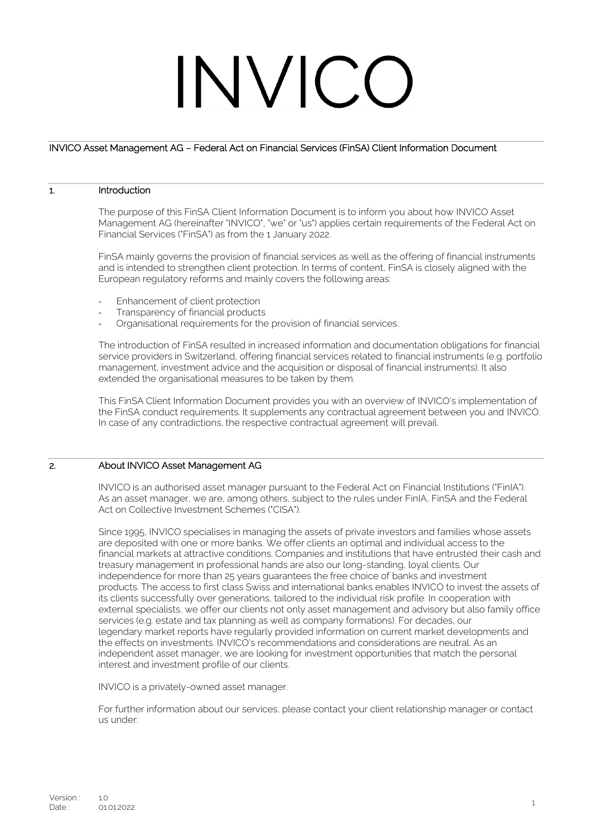# INVICC

# INVICO Asset Management AG – Federal Act on Financial Services (FinSA) Client Information Document

# 1. Introduction

The purpose of this FinSA Client Information Document is to inform you about how INVICO Asset Management AG (hereinafter "INVICO", "we" or "us") applies certain requirements of the Federal Act on Financial Services ("FinSA") as from the 1 January 2022.

FinSA mainly governs the provision of financial services as well as the offering of financial instruments and is intended to strengthen client protection. In terms of content, FinSA is closely aligned with the European regulatory reforms and mainly covers the following areas:

- Enhancement of client protection
- Transparency of financial products
- Organisational requirements for the provision of financial services.

The introduction of FinSA resulted in increased information and documentation obligations for financial service providers in Switzerland, offering financial services related to financial instruments (e.g. portfolio management, investment advice and the acquisition or disposal of financial instruments). It also extended the organisational measures to be taken by them.

This FinSA Client Information Document provides you with an overview of INVICO's implementation of the FinSA conduct requirements. It supplements any contractual agreement between you and INVICO. In case of any contradictions, the respective contractual agreement will prevail.

## 2. About INVICO Asset Management AG

INVICO is an authorised asset manager pursuant to the Federal Act on Financial Institutions ("FinIA"). As an asset manager, we are, among others, subject to the rules under FinIA, FinSA and the Federal Act on Collective Investment Schemes ("CISA").

Since 1995, INVICO specialises in managing the assets of private investors and families whose assets are deposited with one or more banks. We offer clients an optimal and individual access to the financial markets at attractive conditions. Companies and institutions that have entrusted their cash and treasury management in professional hands are also our long-standing, loyal clients. Our independence for more than 25 years guarantees the free choice of banks and investment products. The access to first class Swiss and international banks enables INVICO to invest the assets of its clients successfully over generations, tailored to the individual risk profile. In cooperation with external specialists, we offer our clients not only asset management and advisory but also family office services (e.g. estate and tax planning as well as company formations). For decades, our legendary [market reports](https://www.invico-asset.ch/berichte?lang=en) have regularly provided information on current market developments and the effects on investments. INVICO's recommendations and considerations are neutral. As an independent asset manager, we are looking for investment opportunities that match the personal interest and investment profile of our clients.

INVICO is a privately-owned asset manager.

For further information about our services, please contact your client relationship manager or contact us under: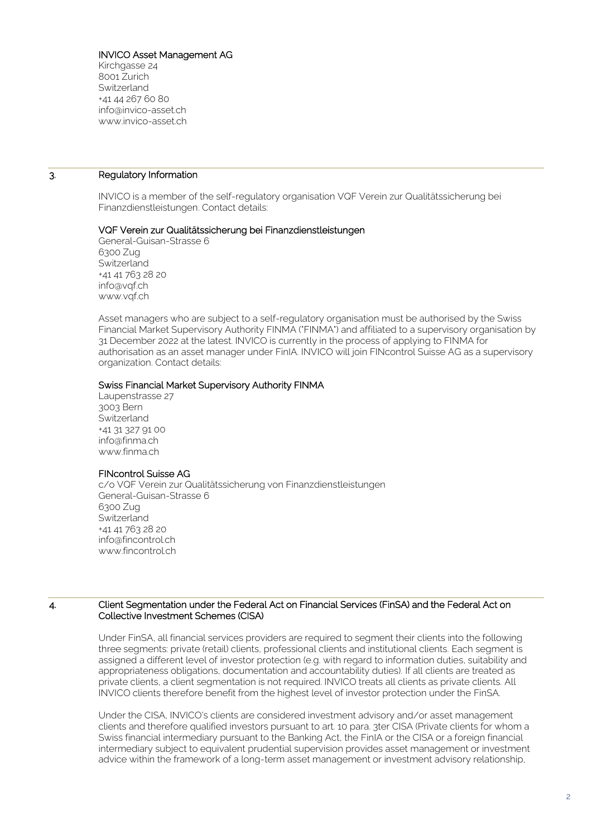# INVICO Asset Management AG

Kirchgasse 24 8001 Zurich Switzerland +41 44 267 60 80 info@invico-asset.ch www.invico-asset.ch

## 3. Regulatory Information

INVICO is a member of the self-regulatory organisation VQF Verein zur Qualitätssicherung bei Finanzdienstleistungen. Contact details:

## VQF Verein zur Qualitätssicherung bei Finanzdienstleistungen

General-Guisan-Strasse 6 6300 Zug **Switzerland** +41 41 763 28 20 info@vqf.ch www.vqf.ch

Asset managers who are subject to a self-regulatory organisation must be authorised by the Swiss Financial Market Supervisory Authority FINMA ("FINMA") and affiliated to a supervisory organisation by 31 December 2022 at the latest. INVICO is currently in the process of applying to FINMA for authorisation as an asset manager under FinIA. INVICO will join FINcontrol Suisse AG as a supervisory organization. Contact details:

# Swiss Financial Market Supervisory Authority FINMA

Laupenstrasse 27 3003 Bern **Switzerland** +41 31 327 91 00 [info@finma.ch](mailto:info@finma.ch) [www.finma.ch](http://www.finma.ch/)

## FINcontrol Suisse AG

c/o VQF Verein zur Qualitätssicherung von Finanzdienstleistungen General-Guisan-Strasse 6 6300 Zug **Switzerland** +41 41 763 28 20 info@fincontrol.ch www.fincontrol.ch

## 4. Client Segmentation under the Federal Act on Financial Services (FinSA) and the Federal Act on Collective Investment Schemes (CISA)

Under FinSA, all financial services providers are required to segment their clients into the following three segments: private (retail) clients, professional clients and institutional clients. Each segment is assigned a different level of investor protection (e.g. with regard to information duties, suitability and appropriateness obligations, documentation and accountability duties). If all clients are treated as private clients, a client segmentation is not required. INVICO treats all clients as private clients. All INVICO clients therefore benefit from the highest level of investor protection under the FinSA.

Under the CISA, INVICO's clients are considered investment advisory and/or asset management clients and therefore qualified investors pursuant to art. 10 para. 3ter CISA (Private clients for whom a Swiss financial intermediary pursuant to the Banking Act, the FinIA or the CISA or a foreign financial intermediary subject to equivalent prudential supervision provides asset management or investment advice within the framework of a long-term asset management or investment advisory relationship,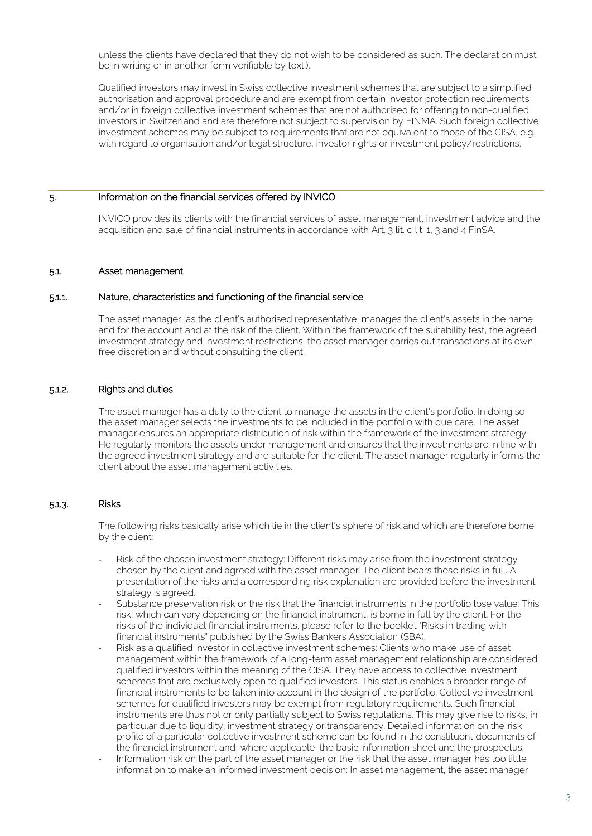unless the clients have declared that they do not wish to be considered as such. The declaration must be in writing or in another form verifiable by text.).

Qualified investors may invest in Swiss collective investment schemes that are subject to a simplified authorisation and approval procedure and are exempt from certain investor protection requirements and/or in foreign collective investment schemes that are not authorised for offering to non-qualified investors in Switzerland and are therefore not subject to supervision by FINMA. Such foreign collective investment schemes may be subject to requirements that are not equivalent to those of the CISA, e.g. with regard to organisation and/or legal structure, investor rights or investment policy/restrictions.

## 5. Information on the financial services offered by INVICO

INVICO provides its clients with the financial services of asset management, investment advice and the acquisition and sale of financial instruments in accordance with Art. 3 lit. c lit. 1, 3 and 4 FinSA.

#### 5.1. Asset management

#### 5.1.1. Nature, characteristics and functioning of the financial service

The asset manager, as the client's authorised representative, manages the client's assets in the name and for the account and at the risk of the client. Within the framework of the suitability test, the agreed investment strategy and investment restrictions, the asset manager carries out transactions at its own free discretion and without consulting the client.

## 5.1.2. Rights and duties

The asset manager has a duty to the client to manage the assets in the client's portfolio. In doing so, the asset manager selects the investments to be included in the portfolio with due care. The asset manager ensures an appropriate distribution of risk within the framework of the investment strategy. He regularly monitors the assets under management and ensures that the investments are in line with the agreed investment strategy and are suitable for the client. The asset manager regularly informs the client about the asset management activities.

# 5.1.3. Risks

The following risks basically arise which lie in the client's sphere of risk and which are therefore borne by the client:

- Risk of the chosen investment strategy: Different risks may arise from the investment strategy chosen by the client and agreed with the asset manager. The client bears these risks in full. A presentation of the risks and a corresponding risk explanation are provided before the investment strategy is agreed.
- Substance preservation risk or the risk that the financial instruments in the portfolio lose value: This risk, which can vary depending on the financial instrument, is borne in full by the client. For the risks of the individual financial instruments, please refer to the booklet "Risks in trading with financial instruments" published by the Swiss Bankers Association (SBA).
- Risk as a qualified investor in collective investment schemes: Clients who make use of asset management within the framework of a long-term asset management relationship are considered qualified investors within the meaning of the CISA. They have access to collective investment schemes that are exclusively open to qualified investors. This status enables a broader range of financial instruments to be taken into account in the design of the portfolio. Collective investment schemes for qualified investors may be exempt from regulatory requirements. Such financial instruments are thus not or only partially subject to Swiss regulations. This may give rise to risks, in particular due to liquidity, investment strategy or transparency. Detailed information on the risk profile of a particular collective investment scheme can be found in the constituent documents of the financial instrument and, where applicable, the basic information sheet and the prospectus.
- Information risk on the part of the asset manager or the risk that the asset manager has too little information to make an informed investment decision: In asset management, the asset manager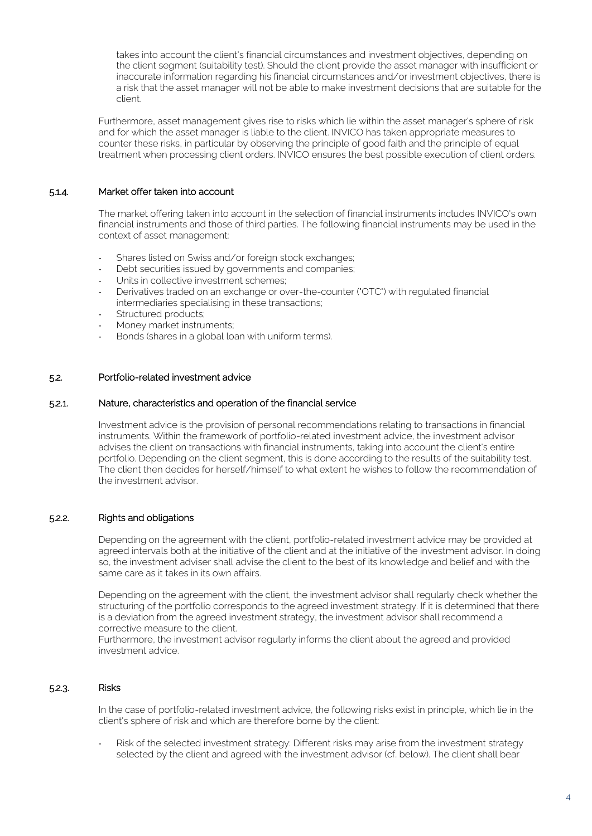takes into account the client's financial circumstances and investment objectives, depending on the client segment (suitability test). Should the client provide the asset manager with insufficient or inaccurate information regarding his financial circumstances and/or investment objectives, there is a risk that the asset manager will not be able to make investment decisions that are suitable for the client.

Furthermore, asset management gives rise to risks which lie within the asset manager's sphere of risk and for which the asset manager is liable to the client. INVICO has taken appropriate measures to counter these risks, in particular by observing the principle of good faith and the principle of equal treatment when processing client orders. INVICO ensures the best possible execution of client orders.

# 5.1.4. Market offer taken into account

The market offering taken into account in the selection of financial instruments includes INVICO's own financial instruments and those of third parties. The following financial instruments may be used in the context of asset management:

- Shares listed on Swiss and/or foreign stock exchanges;
- Debt securities issued by governments and companies;
- Units in collective investment schemes;
- Derivatives traded on an exchange or over-the-counter ("OTC") with regulated financial intermediaries specialising in these transactions;
- Structured products;
- Money market instruments;
- Bonds (shares in a global loan with uniform terms).

# 5.2. Portfolio-related investment advice

## 5.2.1. Nature, characteristics and operation of the financial service

Investment advice is the provision of personal recommendations relating to transactions in financial instruments. Within the framework of portfolio-related investment advice, the investment advisor advises the client on transactions with financial instruments, taking into account the client's entire portfolio. Depending on the client segment, this is done according to the results of the suitability test. The client then decides for herself/himself to what extent he wishes to follow the recommendation of the investment advisor.

# 5.2.2. Rights and obligations

Depending on the agreement with the client, portfolio-related investment advice may be provided at agreed intervals both at the initiative of the client and at the initiative of the investment advisor. In doing so, the investment adviser shall advise the client to the best of its knowledge and belief and with the same care as it takes in its own affairs.

Depending on the agreement with the client, the investment advisor shall regularly check whether the structuring of the portfolio corresponds to the agreed investment strategy. If it is determined that there is a deviation from the agreed investment strategy, the investment advisor shall recommend a corrective measure to the client.

Furthermore, the investment advisor regularly informs the client about the agreed and provided investment advice.

# 5.2.3. Risks

In the case of portfolio-related investment advice, the following risks exist in principle, which lie in the client's sphere of risk and which are therefore borne by the client:

Risk of the selected investment strategy: Different risks may arise from the investment strategy selected by the client and agreed with the investment advisor (cf. below). The client shall bear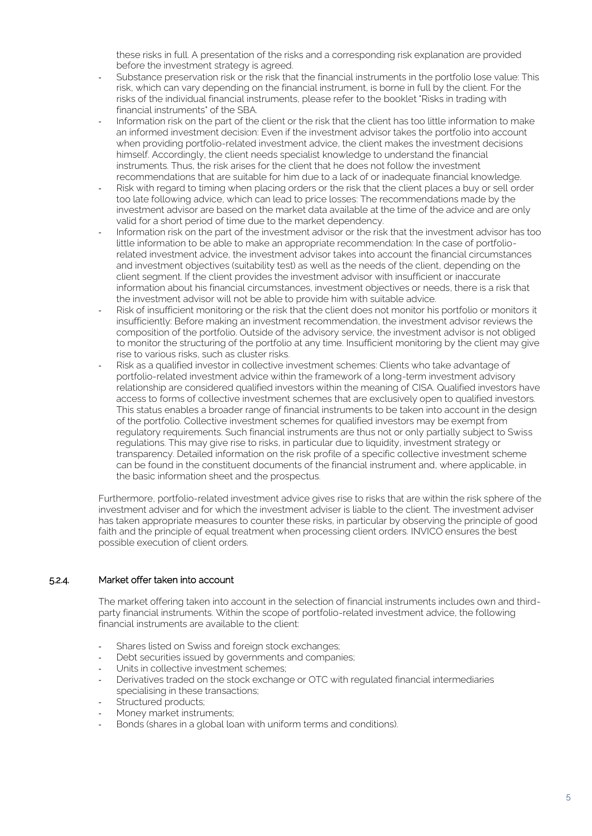these risks in full. A presentation of the risks and a corresponding risk explanation are provided before the investment strategy is agreed.

- Substance preservation risk or the risk that the financial instruments in the portfolio lose value: This risk, which can vary depending on the financial instrument, is borne in full by the client. For the risks of the individual financial instruments, please refer to the booklet "Risks in trading with financial instruments" of the SBA.
- Information risk on the part of the client or the risk that the client has too little information to make an informed investment decision: Even if the investment advisor takes the portfolio into account when providing portfolio-related investment advice, the client makes the investment decisions himself. Accordingly, the client needs specialist knowledge to understand the financial instruments. Thus, the risk arises for the client that he does not follow the investment recommendations that are suitable for him due to a lack of or inadequate financial knowledge.
- Risk with regard to timing when placing orders or the risk that the client places a buy or sell order too late following advice, which can lead to price losses: The recommendations made by the investment advisor are based on the market data available at the time of the advice and are only valid for a short period of time due to the market dependency.
- Information risk on the part of the investment advisor or the risk that the investment advisor has too little information to be able to make an appropriate recommendation: In the case of portfoliorelated investment advice, the investment advisor takes into account the financial circumstances and investment objectives (suitability test) as well as the needs of the client, depending on the client segment. If the client provides the investment advisor with insufficient or inaccurate information about his financial circumstances, investment objectives or needs, there is a risk that the investment advisor will not be able to provide him with suitable advice.
- Risk of insufficient monitoring or the risk that the client does not monitor his portfolio or monitors it insufficiently: Before making an investment recommendation, the investment advisor reviews the composition of the portfolio. Outside of the advisory service, the investment advisor is not obliged to monitor the structuring of the portfolio at any time. Insufficient monitoring by the client may give rise to various risks, such as cluster risks.
- Risk as a qualified investor in collective investment schemes: Clients who take advantage of portfolio-related investment advice within the framework of a long-term investment advisory relationship are considered qualified investors within the meaning of CISA. Qualified investors have access to forms of collective investment schemes that are exclusively open to qualified investors. This status enables a broader range of financial instruments to be taken into account in the design of the portfolio. Collective investment schemes for qualified investors may be exempt from regulatory requirements. Such financial instruments are thus not or only partially subject to Swiss regulations. This may give rise to risks, in particular due to liquidity, investment strategy or transparency. Detailed information on the risk profile of a specific collective investment scheme can be found in the constituent documents of the financial instrument and, where applicable, in the basic information sheet and the prospectus.

Furthermore, portfolio-related investment advice gives rise to risks that are within the risk sphere of the investment adviser and for which the investment adviser is liable to the client. The investment adviser has taken appropriate measures to counter these risks, in particular by observing the principle of good faith and the principle of equal treatment when processing client orders. INVICO ensures the best possible execution of client orders.

# 5.2.4. Market offer taken into account

The market offering taken into account in the selection of financial instruments includes own and thirdparty financial instruments. Within the scope of portfolio-related investment advice, the following financial instruments are available to the client:

- Shares listed on Swiss and foreign stock exchanges;
- Debt securities issued by governments and companies;
- Units in collective investment schemes;
- Derivatives traded on the stock exchange or OTC with regulated financial intermediaries specialising in these transactions;
- Structured products;
- Money market instruments;
- Bonds (shares in a global loan with uniform terms and conditions).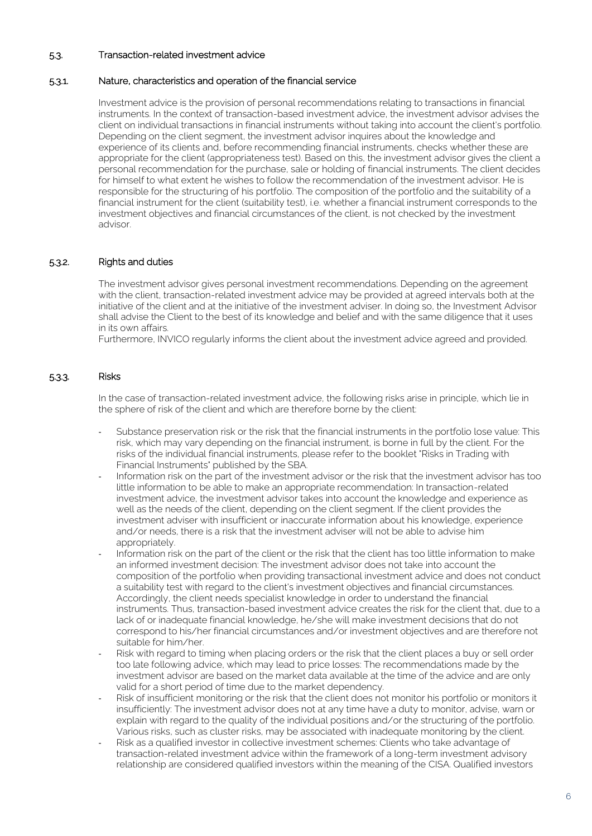# 5.3. Transaction-related investment advice

# 5.3.1. Nature, characteristics and operation of the financial service

Investment advice is the provision of personal recommendations relating to transactions in financial instruments. In the context of transaction-based investment advice, the investment advisor advises the client on individual transactions in financial instruments without taking into account the client's portfolio. Depending on the client segment, the investment advisor inquires about the knowledge and experience of its clients and, before recommending financial instruments, checks whether these are appropriate for the client (appropriateness test). Based on this, the investment advisor gives the client a personal recommendation for the purchase, sale or holding of financial instruments. The client decides for himself to what extent he wishes to follow the recommendation of the investment advisor. He is responsible for the structuring of his portfolio. The composition of the portfolio and the suitability of a financial instrument for the client (suitability test), i.e. whether a financial instrument corresponds to the investment objectives and financial circumstances of the client, is not checked by the investment advisor.

# 5.3.2. Rights and duties

The investment advisor gives personal investment recommendations. Depending on the agreement with the client, transaction-related investment advice may be provided at agreed intervals both at the initiative of the client and at the initiative of the investment adviser. In doing so, the Investment Advisor shall advise the Client to the best of its knowledge and belief and with the same diligence that it uses in its own affairs.

Furthermore, INVICO regularly informs the client about the investment advice agreed and provided.

# 5.3.3. Risks

In the case of transaction-related investment advice, the following risks arise in principle, which lie in the sphere of risk of the client and which are therefore borne by the client:

- Substance preservation risk or the risk that the financial instruments in the portfolio lose value: This risk, which may vary depending on the financial instrument, is borne in full by the client. For the risks of the individual financial instruments, please refer to the booklet "Risks in Trading with Financial Instruments" published by the SBA.
- Information risk on the part of the investment advisor or the risk that the investment advisor has too little information to be able to make an appropriate recommendation: In transaction-related investment advice, the investment advisor takes into account the knowledge and experience as well as the needs of the client, depending on the client segment. If the client provides the investment adviser with insufficient or inaccurate information about his knowledge, experience and/or needs, there is a risk that the investment adviser will not be able to advise him appropriately.
- Information risk on the part of the client or the risk that the client has too little information to make an informed investment decision: The investment advisor does not take into account the composition of the portfolio when providing transactional investment advice and does not conduct a suitability test with regard to the client's investment objectives and financial circumstances. Accordingly, the client needs specialist knowledge in order to understand the financial instruments. Thus, transaction-based investment advice creates the risk for the client that, due to a lack of or inadequate financial knowledge, he/she will make investment decisions that do not correspond to his/her financial circumstances and/or investment objectives and are therefore not suitable for him/her.
- Risk with regard to timing when placing orders or the risk that the client places a buy or sell order too late following advice, which may lead to price losses: The recommendations made by the investment advisor are based on the market data available at the time of the advice and are only valid for a short period of time due to the market dependency.
- Risk of insufficient monitoring or the risk that the client does not monitor his portfolio or monitors it insufficiently: The investment advisor does not at any time have a duty to monitor, advise, warn or explain with regard to the quality of the individual positions and/or the structuring of the portfolio. Various risks, such as cluster risks, may be associated with inadequate monitoring by the client.
- Risk as a qualified investor in collective investment schemes: Clients who take advantage of transaction-related investment advice within the framework of a long-term investment advisory relationship are considered qualified investors within the meaning of the CISA. Qualified investors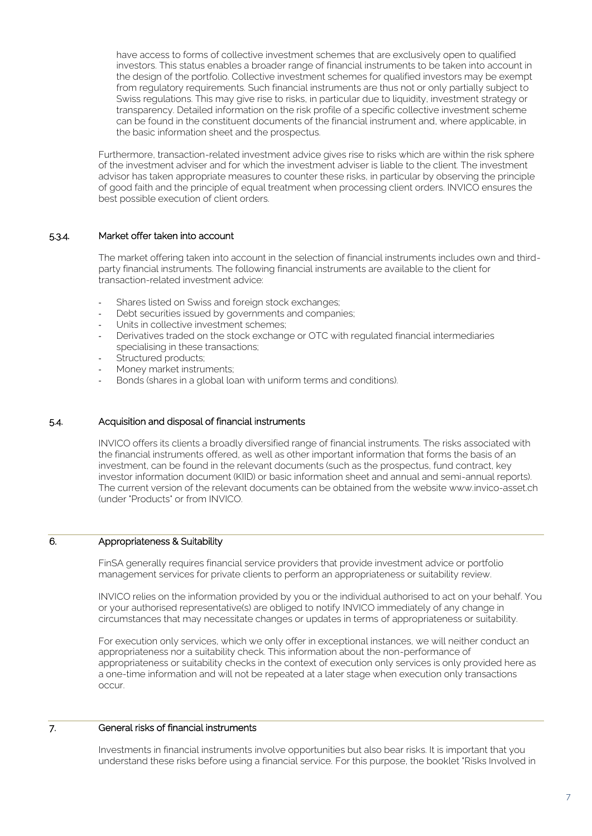have access to forms of collective investment schemes that are exclusively open to qualified investors. This status enables a broader range of financial instruments to be taken into account in the design of the portfolio. Collective investment schemes for qualified investors may be exempt from regulatory requirements. Such financial instruments are thus not or only partially subject to Swiss regulations. This may give rise to risks, in particular due to liquidity, investment strategy or transparency. Detailed information on the risk profile of a specific collective investment scheme can be found in the constituent documents of the financial instrument and, where applicable, in the basic information sheet and the prospectus.

Furthermore, transaction-related investment advice gives rise to risks which are within the risk sphere of the investment adviser and for which the investment adviser is liable to the client. The investment advisor has taken appropriate measures to counter these risks, in particular by observing the principle of good faith and the principle of equal treatment when processing client orders. INVICO ensures the best possible execution of client orders.

# 5.3.4. Market offer taken into account

The market offering taken into account in the selection of financial instruments includes own and thirdparty financial instruments. The following financial instruments are available to the client for transaction-related investment advice:

- Shares listed on Swiss and foreign stock exchanges;
- Debt securities issued by governments and companies;
- Units in collective investment schemes;
- Derivatives traded on the stock exchange or OTC with regulated financial intermediaries specialising in these transactions;
- Structured products;
- Money market instruments;
- Bonds (shares in a global loan with uniform terms and conditions).

# 5.4. Acquisition and disposal of financial instruments

INVICO offers its clients a broadly diversified range of financial instruments. The risks associated with the financial instruments offered, as well as other important information that forms the basis of an investment, can be found in the relevant documents (such as the prospectus, fund contract, key investor information document (KIID) or basic information sheet and annual and semi-annual reports). The current version of the relevant documents can be obtained from the website www.invico-asset.ch (under "Products" or from INVICO.

# 6. Appropriateness & Suitability

FinSA generally requires financial service providers that provide investment advice or portfolio management services for private clients to perform an appropriateness or suitability review.

INVICO relies on the information provided by you or the individual authorised to act on your behalf. You or your authorised representative(s) are obliged to notify INVICO immediately of any change in circumstances that may necessitate changes or updates in terms of appropriateness or suitability.

For execution only services, which we only offer in exceptional instances, we will neither conduct an appropriateness nor a suitability check. This information about the non-performance of appropriateness or suitability checks in the context of execution only services is only provided here as a one-time information and will not be repeated at a later stage when execution only transactions occur.

# 7. General risks of financial instruments

Investments in financial instruments involve opportunities but also bear risks. It is important that you understand these risks before using a financial service. For this purpose, the booklet "Risks Involved in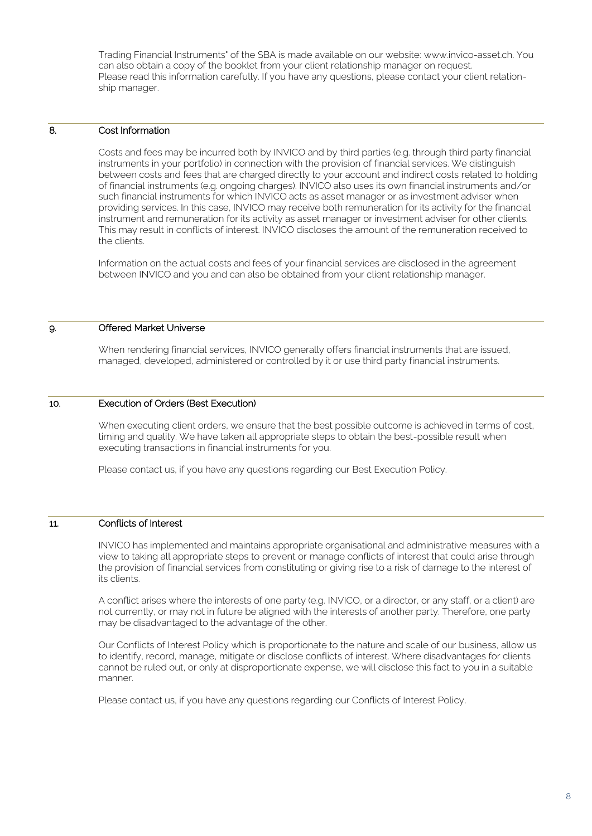Trading Financial Instruments" of the SBA is made available on our website: www.invico-asset.ch. You can also obtain a copy of the booklet from your client relationship manager on request. Please read this information carefully. If you have any questions, please contact your client relationship manager.

# 8. Cost Information

Costs and fees may be incurred both by INVICO and by third parties (e.g. through third party financial instruments in your portfolio) in connection with the provision of financial services. We distinguish between costs and fees that are charged directly to your account and indirect costs related to holding of financial instruments (e.g. ongoing charges). INVICO also uses its own financial instruments and/or such financial instruments for which INVICO acts as asset manager or as investment adviser when providing services. In this case, INVICO may receive both remuneration for its activity for the financial instrument and remuneration for its activity as asset manager or investment adviser for other clients. This may result in conflicts of interest. INVICO discloses the amount of the remuneration received to the clients.

Information on the actual costs and fees of your financial services are disclosed in the agreement between INVICO and you and can also be obtained from your client relationship manager.

## 9. Offered Market Universe

When rendering financial services, INVICO generally offers financial instruments that are issued, managed, developed, administered or controlled by it or use third party financial instruments.

# 10. Execution of Orders (Best Execution)

When executing client orders, we ensure that the best possible outcome is achieved in terms of cost, timing and quality. We have taken all appropriate steps to obtain the best-possible result when executing transactions in financial instruments for you.

Please contact us, if you have any questions regarding our Best Execution Policy.

# 11. Conflicts of Interest

INVICO has implemented and maintains appropriate organisational and administrative measures with a view to taking all appropriate steps to prevent or manage conflicts of interest that could arise through the provision of financial services from constituting or giving rise to a risk of damage to the interest of its clients.

A conflict arises where the interests of one party (e.g. INVICO, or a director, or any staff, or a client) are not currently, or may not in future be aligned with the interests of another party. Therefore, one party may be disadvantaged to the advantage of the other.

Our Conflicts of Interest Policy which is proportionate to the nature and scale of our business, allow us to identify, record, manage, mitigate or disclose conflicts of interest. Where disadvantages for clients cannot be ruled out, or only at disproportionate expense, we will disclose this fact to you in a suitable manner.

Please contact us, if you have any questions regarding our Conflicts of Interest Policy.